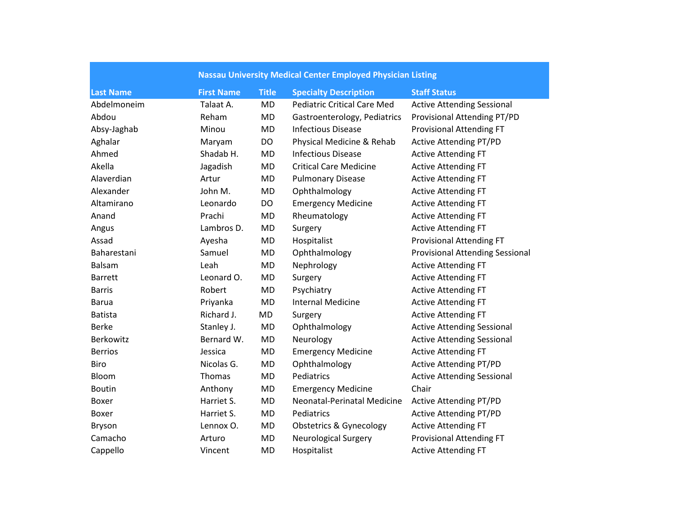| <b>Nassau University Medical Center Employed Physician Listing</b> |                   |              |                                    |                                        |
|--------------------------------------------------------------------|-------------------|--------------|------------------------------------|----------------------------------------|
| <b>Last Name</b>                                                   | <b>First Name</b> | <b>Title</b> | <b>Specialty Description</b>       | <b>Staff Status</b>                    |
| Abdelmoneim                                                        | Talaat A.         | <b>MD</b>    | <b>Pediatric Critical Care Med</b> | <b>Active Attending Sessional</b>      |
| Abdou                                                              | Reham             | <b>MD</b>    | Gastroenterology, Pediatrics       | Provisional Attending PT/PD            |
| Absy-Jaghab                                                        | Minou             | <b>MD</b>    | <b>Infectious Disease</b>          | Provisional Attending FT               |
| Aghalar                                                            | Maryam            | DO           | Physical Medicine & Rehab          | <b>Active Attending PT/PD</b>          |
| Ahmed                                                              | Shadab H.         | <b>MD</b>    | <b>Infectious Disease</b>          | <b>Active Attending FT</b>             |
| Akella                                                             | Jagadish          | <b>MD</b>    | <b>Critical Care Medicine</b>      | <b>Active Attending FT</b>             |
| Alaverdian                                                         | Artur             | <b>MD</b>    | <b>Pulmonary Disease</b>           | <b>Active Attending FT</b>             |
| Alexander                                                          | John M.           | MD           | Ophthalmology                      | <b>Active Attending FT</b>             |
| Altamirano                                                         | Leonardo          | DO           | <b>Emergency Medicine</b>          | <b>Active Attending FT</b>             |
| Anand                                                              | Prachi            | <b>MD</b>    | Rheumatology                       | <b>Active Attending FT</b>             |
| Angus                                                              | Lambros D.        | <b>MD</b>    | Surgery                            | <b>Active Attending FT</b>             |
| Assad                                                              | Ayesha            | <b>MD</b>    | Hospitalist                        | <b>Provisional Attending FT</b>        |
| Baharestani                                                        | Samuel            | <b>MD</b>    | Ophthalmology                      | <b>Provisional Attending Sessional</b> |
| Balsam                                                             | Leah              | <b>MD</b>    | Nephrology                         | <b>Active Attending FT</b>             |
| <b>Barrett</b>                                                     | Leonard O.        | <b>MD</b>    | Surgery                            | <b>Active Attending FT</b>             |
| <b>Barris</b>                                                      | Robert            | <b>MD</b>    | Psychiatry                         | <b>Active Attending FT</b>             |
| <b>Barua</b>                                                       | Priyanka          | <b>MD</b>    | <b>Internal Medicine</b>           | <b>Active Attending FT</b>             |
| <b>Batista</b>                                                     | Richard J.        | MD           | Surgery                            | <b>Active Attending FT</b>             |
| <b>Berke</b>                                                       | Stanley J.        | <b>MD</b>    | Ophthalmology                      | <b>Active Attending Sessional</b>      |
| Berkowitz                                                          | Bernard W.        | <b>MD</b>    | Neurology                          | <b>Active Attending Sessional</b>      |
| <b>Berrios</b>                                                     | Jessica           | <b>MD</b>    | <b>Emergency Medicine</b>          | <b>Active Attending FT</b>             |
| Biro                                                               | Nicolas G.        | <b>MD</b>    | Ophthalmology                      | <b>Active Attending PT/PD</b>          |
| Bloom                                                              | Thomas            | <b>MD</b>    | Pediatrics                         | <b>Active Attending Sessional</b>      |
| <b>Boutin</b>                                                      | Anthony           | MD           | <b>Emergency Medicine</b>          | Chair                                  |
| Boxer                                                              | Harriet S.        | <b>MD</b>    | Neonatal-Perinatal Medicine        | <b>Active Attending PT/PD</b>          |
| Boxer                                                              | Harriet S.        | <b>MD</b>    | Pediatrics                         | <b>Active Attending PT/PD</b>          |
| Bryson                                                             | Lennox O.         | <b>MD</b>    | <b>Obstetrics &amp; Gynecology</b> | <b>Active Attending FT</b>             |
| Camacho                                                            | Arturo            | <b>MD</b>    | <b>Neurological Surgery</b>        | <b>Provisional Attending FT</b>        |
| Cappello                                                           | Vincent           | <b>MD</b>    | Hospitalist                        | <b>Active Attending FT</b>             |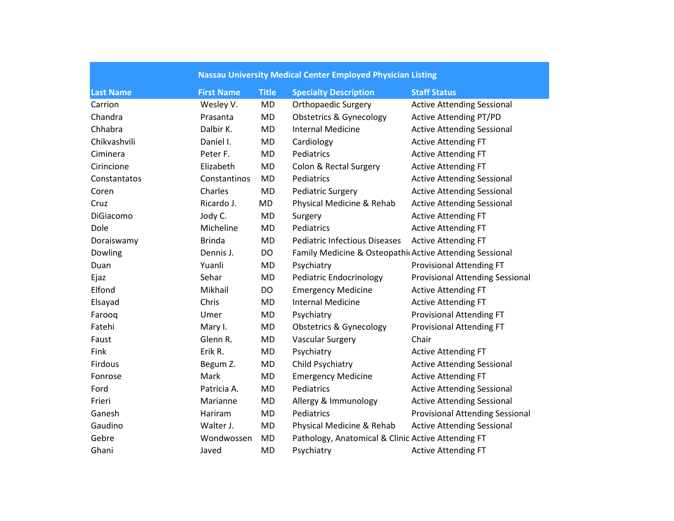|                  | <b>Nassau University Medical Center Employed Physician Listing</b> |              |                                                          |                                        |
|------------------|--------------------------------------------------------------------|--------------|----------------------------------------------------------|----------------------------------------|
| <b>Last Name</b> | <b>First Name</b>                                                  | <b>Title</b> | <b>Specialty Description</b>                             | <b>Staff Status</b>                    |
| Carrion          | Wesley V.                                                          | <b>MD</b>    | <b>Orthopaedic Surgery</b>                               | <b>Active Attending Sessional</b>      |
| Chandra          | Prasanta                                                           | <b>MD</b>    | <b>Obstetrics &amp; Gynecology</b>                       | <b>Active Attending PT/PD</b>          |
| Chhabra          | Dalbir K.                                                          | <b>MD</b>    | <b>Internal Medicine</b>                                 | <b>Active Attending Sessional</b>      |
| Chikvashvili     | Daniel I.                                                          | <b>MD</b>    | Cardiology                                               | <b>Active Attending FT</b>             |
| Ciminera         | Peter F.                                                           | <b>MD</b>    | Pediatrics                                               | <b>Active Attending FT</b>             |
| Cirincione       | Elizabeth                                                          | <b>MD</b>    | Colon & Rectal Surgery                                   | <b>Active Attending FT</b>             |
| Constantatos     | Constantinos                                                       | <b>MD</b>    | Pediatrics                                               | <b>Active Attending Sessional</b>      |
| Coren            | Charles                                                            | <b>MD</b>    | <b>Pediatric Surgery</b>                                 | <b>Active Attending Sessional</b>      |
| Cruz             | Ricardo J.                                                         | MD           | Physical Medicine & Rehab                                | <b>Active Attending Sessional</b>      |
| DiGiacomo        | Jody C.                                                            | MD           | Surgery                                                  | <b>Active Attending FT</b>             |
| Dole             | Micheline                                                          | <b>MD</b>    | Pediatrics                                               | <b>Active Attending FT</b>             |
| Doraiswamy       | <b>Brinda</b>                                                      | <b>MD</b>    | <b>Pediatric Infectious Diseases</b>                     | <b>Active Attending FT</b>             |
| Dowling          | Dennis J.                                                          | DO           | Family Medicine & Osteopathic Active Attending Sessional |                                        |
| Duan             | Yuanli                                                             | <b>MD</b>    | Psychiatry                                               | <b>Provisional Attending FT</b>        |
| Ejaz             | Sehar                                                              | <b>MD</b>    | <b>Pediatric Endocrinology</b>                           | <b>Provisional Attending Sessional</b> |
| Elfond           | Mikhail                                                            | <b>DO</b>    | <b>Emergency Medicine</b>                                | <b>Active Attending FT</b>             |
| Elsayad          | Chris                                                              | <b>MD</b>    | <b>Internal Medicine</b>                                 | <b>Active Attending FT</b>             |
| Farooq           | Umer                                                               | MD           | Psychiatry                                               | <b>Provisional Attending FT</b>        |
| Fatehi           | Mary I.                                                            | <b>MD</b>    | <b>Obstetrics &amp; Gynecology</b>                       | <b>Provisional Attending FT</b>        |
| Faust            | Glenn R.                                                           | <b>MD</b>    | <b>Vascular Surgery</b>                                  | Chair                                  |
| Fink             | Erik R.                                                            | <b>MD</b>    | Psychiatry                                               | <b>Active Attending FT</b>             |
| Firdous          | Begum Z.                                                           | <b>MD</b>    | Child Psychiatry                                         | <b>Active Attending Sessional</b>      |
| Fonrose          | Mark                                                               | <b>MD</b>    | <b>Emergency Medicine</b>                                | <b>Active Attending FT</b>             |
| Ford             | Patricia A.                                                        | <b>MD</b>    | Pediatrics                                               | <b>Active Attending Sessional</b>      |
| Frieri           | Marianne                                                           | <b>MD</b>    | Allergy & Immunology                                     | <b>Active Attending Sessional</b>      |
| Ganesh           | Hariram                                                            | <b>MD</b>    | Pediatrics                                               | <b>Provisional Attending Sessional</b> |
| Gaudino          | Walter J.                                                          | <b>MD</b>    | Physical Medicine & Rehab                                | <b>Active Attending Sessional</b>      |
| Gebre            | Wondwossen                                                         | <b>MD</b>    | Pathology, Anatomical & Clinic Active Attending FT       |                                        |
| Ghani            | Javed                                                              | <b>MD</b>    | Psychiatry                                               | <b>Active Attending FT</b>             |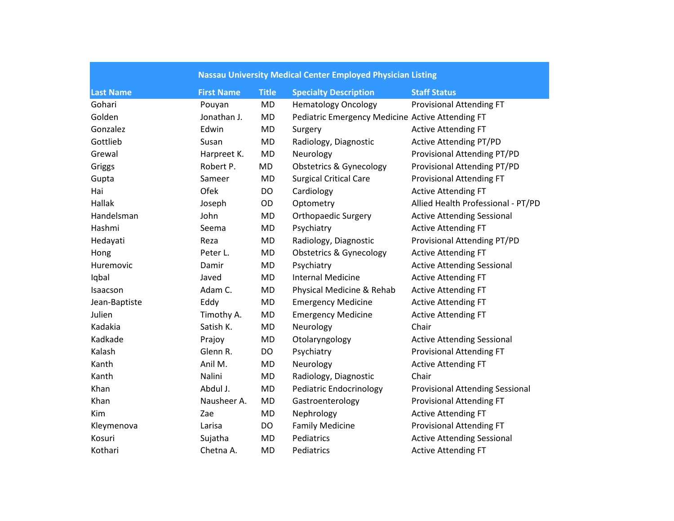|                  | <b>Nassau University Medical Center Employed Physician Listing</b> |              |                                                  |                                        |  |
|------------------|--------------------------------------------------------------------|--------------|--------------------------------------------------|----------------------------------------|--|
| <b>Last Name</b> | <b>First Name</b>                                                  | <b>Title</b> | <b>Specialty Description</b>                     | <b>Staff Status</b>                    |  |
| Gohari           | Pouyan                                                             | <b>MD</b>    | <b>Hematology Oncology</b>                       | <b>Provisional Attending FT</b>        |  |
| Golden           | Jonathan J.                                                        | MD           | Pediatric Emergency Medicine Active Attending FT |                                        |  |
| Gonzalez         | Edwin                                                              | MD           | Surgery                                          | <b>Active Attending FT</b>             |  |
| Gottlieb         | Susan                                                              | MD           | Radiology, Diagnostic                            | <b>Active Attending PT/PD</b>          |  |
| Grewal           | Harpreet K.                                                        | <b>MD</b>    | Neurology                                        | Provisional Attending PT/PD            |  |
| Griggs           | Robert P.                                                          | MD           | <b>Obstetrics &amp; Gynecology</b>               | Provisional Attending PT/PD            |  |
| Gupta            | Sameer                                                             | MD           | <b>Surgical Critical Care</b>                    | <b>Provisional Attending FT</b>        |  |
| Hai              | Ofek                                                               | DO           | Cardiology                                       | <b>Active Attending FT</b>             |  |
| Hallak           | Joseph                                                             | OD           | Optometry                                        | Allied Health Professional - PT/PD     |  |
| Handelsman       | John                                                               | MD           | <b>Orthopaedic Surgery</b>                       | <b>Active Attending Sessional</b>      |  |
| Hashmi           | Seema                                                              | MD           | Psychiatry                                       | <b>Active Attending FT</b>             |  |
| Hedayati         | Reza                                                               | <b>MD</b>    | Radiology, Diagnostic                            | Provisional Attending PT/PD            |  |
| Hong             | Peter L.                                                           | MD           | <b>Obstetrics &amp; Gynecology</b>               | <b>Active Attending FT</b>             |  |
| Huremovic        | Damir                                                              | MD           | Psychiatry                                       | <b>Active Attending Sessional</b>      |  |
| Iqbal            | Javed                                                              | <b>MD</b>    | <b>Internal Medicine</b>                         | <b>Active Attending FT</b>             |  |
| Isaacson         | Adam C.                                                            | MD           | Physical Medicine & Rehab                        | <b>Active Attending FT</b>             |  |
| Jean-Baptiste    | Eddy                                                               | MD           | <b>Emergency Medicine</b>                        | <b>Active Attending FT</b>             |  |
| Julien           | Timothy A.                                                         | MD           | <b>Emergency Medicine</b>                        | <b>Active Attending FT</b>             |  |
| Kadakia          | Satish K.                                                          | MD           | Neurology                                        | Chair                                  |  |
| Kadkade          | Prajoy                                                             | <b>MD</b>    | Otolaryngology                                   | <b>Active Attending Sessional</b>      |  |
| Kalash           | Glenn R.                                                           | DO           | Psychiatry                                       | <b>Provisional Attending FT</b>        |  |
| Kanth            | Anil M.                                                            | <b>MD</b>    | Neurology                                        | <b>Active Attending FT</b>             |  |
| Kanth            | Nalini                                                             | <b>MD</b>    | Radiology, Diagnostic                            | Chair                                  |  |
| Khan             | Abdul J.                                                           | MD           | Pediatric Endocrinology                          | <b>Provisional Attending Sessional</b> |  |
| Khan             | Nausheer A.                                                        | MD           | Gastroenterology                                 | <b>Provisional Attending FT</b>        |  |
| Kim              | Zae                                                                | MD           | Nephrology                                       | <b>Active Attending FT</b>             |  |
| Kleymenova       | Larisa                                                             | DO           | <b>Family Medicine</b>                           | <b>Provisional Attending FT</b>        |  |
| Kosuri           | Sujatha                                                            | <b>MD</b>    | Pediatrics                                       | <b>Active Attending Sessional</b>      |  |
| Kothari          | Chetna A.                                                          | <b>MD</b>    | Pediatrics                                       | <b>Active Attending FT</b>             |  |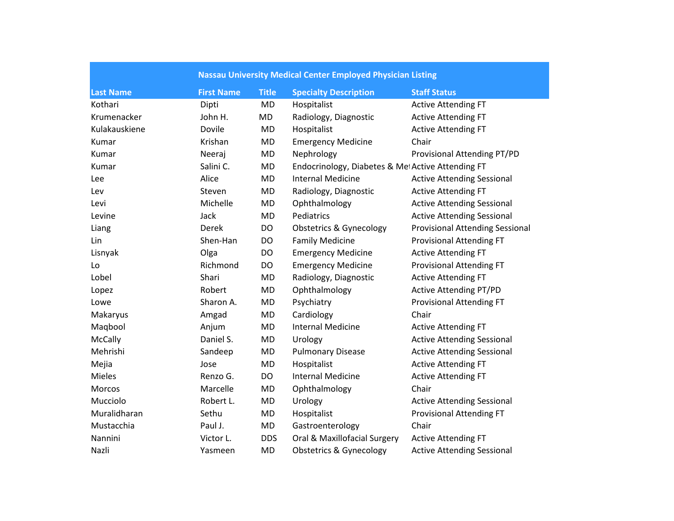| <b>Nassau University Medical Center Employed Physician Listing</b> |                   |              |                                                  |                                        |  |
|--------------------------------------------------------------------|-------------------|--------------|--------------------------------------------------|----------------------------------------|--|
| <b>Last Name</b>                                                   | <b>First Name</b> | <b>Title</b> | <b>Specialty Description</b>                     | <b>Staff Status</b>                    |  |
| Kothari                                                            | Dipti             | <b>MD</b>    | Hospitalist                                      | <b>Active Attending FT</b>             |  |
| Krumenacker                                                        | John H.           | MD           | Radiology, Diagnostic                            | <b>Active Attending FT</b>             |  |
| Kulakauskiene                                                      | Dovile            | <b>MD</b>    | Hospitalist                                      | <b>Active Attending FT</b>             |  |
| Kumar                                                              | Krishan           | <b>MD</b>    | <b>Emergency Medicine</b>                        | Chair                                  |  |
| Kumar                                                              | Neeraj            | MD           | Nephrology                                       | Provisional Attending PT/PD            |  |
| Kumar                                                              | Salini C.         | <b>MD</b>    | Endocrinology, Diabetes & MetActive Attending FT |                                        |  |
| Lee                                                                | Alice             | <b>MD</b>    | <b>Internal Medicine</b>                         | <b>Active Attending Sessional</b>      |  |
| Lev                                                                | Steven            | MD           | Radiology, Diagnostic                            | <b>Active Attending FT</b>             |  |
| Levi                                                               | Michelle          | <b>MD</b>    | Ophthalmology                                    | <b>Active Attending Sessional</b>      |  |
| Levine                                                             | Jack              | <b>MD</b>    | Pediatrics                                       | <b>Active Attending Sessional</b>      |  |
| Liang                                                              | Derek             | DO           | <b>Obstetrics &amp; Gynecology</b>               | <b>Provisional Attending Sessional</b> |  |
| Lin                                                                | Shen-Han          | DO           | <b>Family Medicine</b>                           | <b>Provisional Attending FT</b>        |  |
| Lisnyak                                                            | Olga              | DO           | <b>Emergency Medicine</b>                        | <b>Active Attending FT</b>             |  |
| Lo                                                                 | Richmond          | DO           | <b>Emergency Medicine</b>                        | <b>Provisional Attending FT</b>        |  |
| Lobel                                                              | Shari             | <b>MD</b>    | Radiology, Diagnostic                            | <b>Active Attending FT</b>             |  |
| Lopez                                                              | Robert            | <b>MD</b>    | Ophthalmology                                    | <b>Active Attending PT/PD</b>          |  |
| Lowe                                                               | Sharon A.         | <b>MD</b>    | Psychiatry                                       | <b>Provisional Attending FT</b>        |  |
| Makaryus                                                           | Amgad             | <b>MD</b>    | Cardiology                                       | Chair                                  |  |
| Maqbool                                                            | Anjum             | <b>MD</b>    | <b>Internal Medicine</b>                         | <b>Active Attending FT</b>             |  |
| McCally                                                            | Daniel S.         | MD           | Urology                                          | <b>Active Attending Sessional</b>      |  |
| Mehrishi                                                           | Sandeep           | <b>MD</b>    | <b>Pulmonary Disease</b>                         | <b>Active Attending Sessional</b>      |  |
| Mejia                                                              | Jose              | <b>MD</b>    | Hospitalist                                      | <b>Active Attending FT</b>             |  |
| <b>Mieles</b>                                                      | Renzo G.          | DO           | <b>Internal Medicine</b>                         | <b>Active Attending FT</b>             |  |
| Morcos                                                             | Marcelle          | <b>MD</b>    | Ophthalmology                                    | Chair                                  |  |
| Mucciolo                                                           | Robert L.         | <b>MD</b>    | Urology                                          | <b>Active Attending Sessional</b>      |  |
| Muralidharan                                                       | Sethu             | <b>MD</b>    | Hospitalist                                      | <b>Provisional Attending FT</b>        |  |
| Mustacchia                                                         | Paul J.           | MD           | Gastroenterology                                 | Chair                                  |  |
| Nannini                                                            | Victor L.         | <b>DDS</b>   | Oral & Maxillofacial Surgery                     | <b>Active Attending FT</b>             |  |
| Nazli                                                              | Yasmeen           | <b>MD</b>    | <b>Obstetrics &amp; Gynecology</b>               | <b>Active Attending Sessional</b>      |  |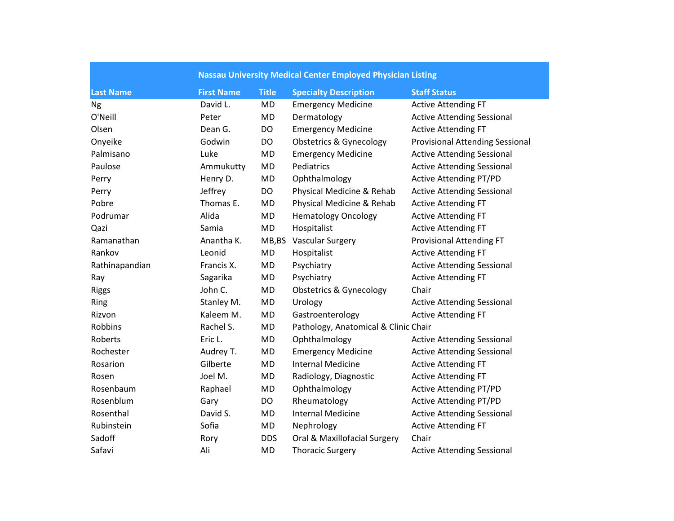|                  | <b>Nassau University Medical Center Employed Physician Listing</b> |              |                                      |                                        |
|------------------|--------------------------------------------------------------------|--------------|--------------------------------------|----------------------------------------|
| <b>Last Name</b> | <b>First Name</b>                                                  | <b>Title</b> | <b>Specialty Description</b>         | <b>Staff Status</b>                    |
| <b>Ng</b>        | David L.                                                           | <b>MD</b>    | <b>Emergency Medicine</b>            | <b>Active Attending FT</b>             |
| O'Neill          | Peter                                                              | <b>MD</b>    | Dermatology                          | <b>Active Attending Sessional</b>      |
| Olsen            | Dean G.                                                            | DO           | <b>Emergency Medicine</b>            | <b>Active Attending FT</b>             |
| Onyeike          | Godwin                                                             | DO           | <b>Obstetrics &amp; Gynecology</b>   | <b>Provisional Attending Sessional</b> |
| Palmisano        | Luke                                                               | <b>MD</b>    | <b>Emergency Medicine</b>            | <b>Active Attending Sessional</b>      |
| Paulose          | Ammukutty                                                          | <b>MD</b>    | Pediatrics                           | <b>Active Attending Sessional</b>      |
| Perry            | Henry D.                                                           | <b>MD</b>    | Ophthalmology                        | <b>Active Attending PT/PD</b>          |
| Perry            | Jeffrey                                                            | <b>DO</b>    | Physical Medicine & Rehab            | <b>Active Attending Sessional</b>      |
| Pobre            | Thomas E.                                                          | <b>MD</b>    | Physical Medicine & Rehab            | <b>Active Attending FT</b>             |
| Podrumar         | Alida                                                              | <b>MD</b>    | <b>Hematology Oncology</b>           | <b>Active Attending FT</b>             |
| Qazi             | Samia                                                              | <b>MD</b>    | Hospitalist                          | <b>Active Attending FT</b>             |
| Ramanathan       | Anantha K.                                                         | MB, BS       | <b>Vascular Surgery</b>              | <b>Provisional Attending FT</b>        |
| Rankov           | Leonid                                                             | <b>MD</b>    | Hospitalist                          | <b>Active Attending FT</b>             |
| Rathinapandian   | Francis X.                                                         | <b>MD</b>    | Psychiatry                           | <b>Active Attending Sessional</b>      |
| Ray              | Sagarika                                                           | <b>MD</b>    | Psychiatry                           | <b>Active Attending FT</b>             |
| <b>Riggs</b>     | John C.                                                            | <b>MD</b>    | <b>Obstetrics &amp; Gynecology</b>   | Chair                                  |
| Ring             | Stanley M.                                                         | <b>MD</b>    | Urology                              | <b>Active Attending Sessional</b>      |
| Rizvon           | Kaleem M.                                                          | <b>MD</b>    | Gastroenterology                     | <b>Active Attending FT</b>             |
| <b>Robbins</b>   | Rachel S.                                                          | MD           | Pathology, Anatomical & Clinic Chair |                                        |
| Roberts          | Eric L.                                                            | <b>MD</b>    | Ophthalmology                        | <b>Active Attending Sessional</b>      |
| Rochester        | Audrey T.                                                          | MD           | <b>Emergency Medicine</b>            | <b>Active Attending Sessional</b>      |
| Rosarion         | Gilberte                                                           | MD           | <b>Internal Medicine</b>             | <b>Active Attending FT</b>             |
| Rosen            | Joel M.                                                            | <b>MD</b>    | Radiology, Diagnostic                | <b>Active Attending FT</b>             |
| Rosenbaum        | Raphael                                                            | MD           | Ophthalmology                        | <b>Active Attending PT/PD</b>          |
| Rosenblum        | Gary                                                               | <b>DO</b>    | Rheumatology                         | <b>Active Attending PT/PD</b>          |
| Rosenthal        | David S.                                                           | <b>MD</b>    | <b>Internal Medicine</b>             | <b>Active Attending Sessional</b>      |
| Rubinstein       | Sofia                                                              | <b>MD</b>    | Nephrology                           | <b>Active Attending FT</b>             |
| Sadoff           | Rory                                                               | <b>DDS</b>   | Oral & Maxillofacial Surgery         | Chair                                  |
| Safavi           | Ali                                                                | <b>MD</b>    | <b>Thoracic Surgery</b>              | <b>Active Attending Sessional</b>      |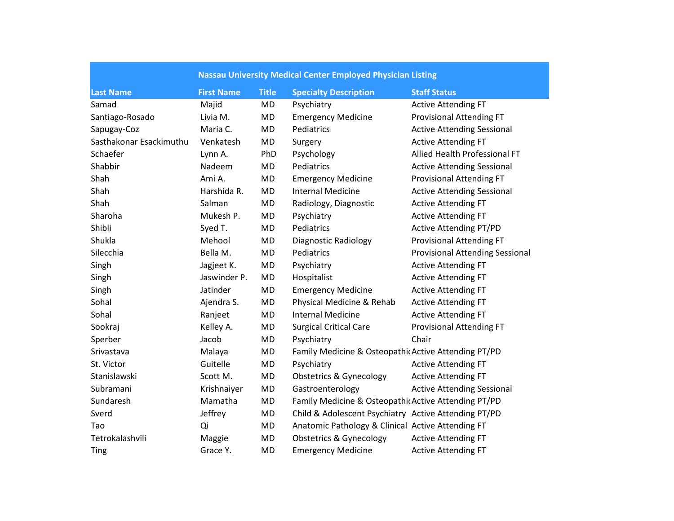| <b>Nassau University Medical Center Employed Physician Listing</b> |                   |              |                                                      |                                        |
|--------------------------------------------------------------------|-------------------|--------------|------------------------------------------------------|----------------------------------------|
| <b>Last Name</b>                                                   | <b>First Name</b> | <b>Title</b> | <b>Specialty Description</b>                         | <b>Staff Status</b>                    |
| Samad                                                              | Majid             | <b>MD</b>    | Psychiatry                                           | <b>Active Attending FT</b>             |
| Santiago-Rosado                                                    | Livia M.          | MD           | <b>Emergency Medicine</b>                            | <b>Provisional Attending FT</b>        |
| Sapugay-Coz                                                        | Maria C.          | <b>MD</b>    | Pediatrics                                           | <b>Active Attending Sessional</b>      |
| Sasthakonar Esackimuthu                                            | Venkatesh         | <b>MD</b>    | Surgery                                              | <b>Active Attending FT</b>             |
| Schaefer                                                           | Lynn A.           | PhD          | Psychology                                           | Allied Health Professional FT          |
| Shabbir                                                            | Nadeem            | <b>MD</b>    | Pediatrics                                           | <b>Active Attending Sessional</b>      |
| Shah                                                               | Ami A.            | <b>MD</b>    | <b>Emergency Medicine</b>                            | <b>Provisional Attending FT</b>        |
| Shah                                                               | Harshida R.       | <b>MD</b>    | <b>Internal Medicine</b>                             | <b>Active Attending Sessional</b>      |
| Shah                                                               | Salman            | MD           | Radiology, Diagnostic                                | <b>Active Attending FT</b>             |
| Sharoha                                                            | Mukesh P.         | <b>MD</b>    | Psychiatry                                           | <b>Active Attending FT</b>             |
| Shibli                                                             | Syed T.           | <b>MD</b>    | Pediatrics                                           | <b>Active Attending PT/PD</b>          |
| Shukla                                                             | Mehool            | <b>MD</b>    | <b>Diagnostic Radiology</b>                          | <b>Provisional Attending FT</b>        |
| Silecchia                                                          | Bella M.          | MD           | Pediatrics                                           | <b>Provisional Attending Sessional</b> |
| Singh                                                              | Jagjeet K.        | MD           | Psychiatry                                           | <b>Active Attending FT</b>             |
| Singh                                                              | Jaswinder P.      | <b>MD</b>    | Hospitalist                                          | <b>Active Attending FT</b>             |
| Singh                                                              | Jatinder          | <b>MD</b>    | <b>Emergency Medicine</b>                            | <b>Active Attending FT</b>             |
| Sohal                                                              | Ajendra S.        | <b>MD</b>    | Physical Medicine & Rehab                            | <b>Active Attending FT</b>             |
| Sohal                                                              | Ranjeet           | <b>MD</b>    | <b>Internal Medicine</b>                             | <b>Active Attending FT</b>             |
| Sookraj                                                            | Kelley A.         | <b>MD</b>    | <b>Surgical Critical Care</b>                        | <b>Provisional Attending FT</b>        |
| Sperber                                                            | Jacob             | <b>MD</b>    | Psychiatry                                           | Chair                                  |
| Srivastava                                                         | Malaya            | MD           | Family Medicine & Osteopathic Active Attending PT/PD |                                        |
| St. Victor                                                         | Guitelle          | <b>MD</b>    | Psychiatry                                           | <b>Active Attending FT</b>             |
| Stanislawski                                                       | Scott M.          | <b>MD</b>    | <b>Obstetrics &amp; Gynecology</b>                   | <b>Active Attending FT</b>             |
| Subramani                                                          | Krishnaiyer       | <b>MD</b>    | Gastroenterology                                     | <b>Active Attending Sessional</b>      |
| Sundaresh                                                          | Mamatha           | <b>MD</b>    | Family Medicine & Osteopathic Active Attending PT/PD |                                        |
| Sverd                                                              | Jeffrey           | <b>MD</b>    | Child & Adolescent Psychiatry Active Attending PT/PD |                                        |
| Tao                                                                | Qi                | <b>MD</b>    | Anatomic Pathology & Clinical Active Attending FT    |                                        |
| Tetrokalashvili                                                    | Maggie            | <b>MD</b>    | <b>Obstetrics &amp; Gynecology</b>                   | <b>Active Attending FT</b>             |
| Ting                                                               | Grace Y.          | <b>MD</b>    | <b>Emergency Medicine</b>                            | <b>Active Attending FT</b>             |